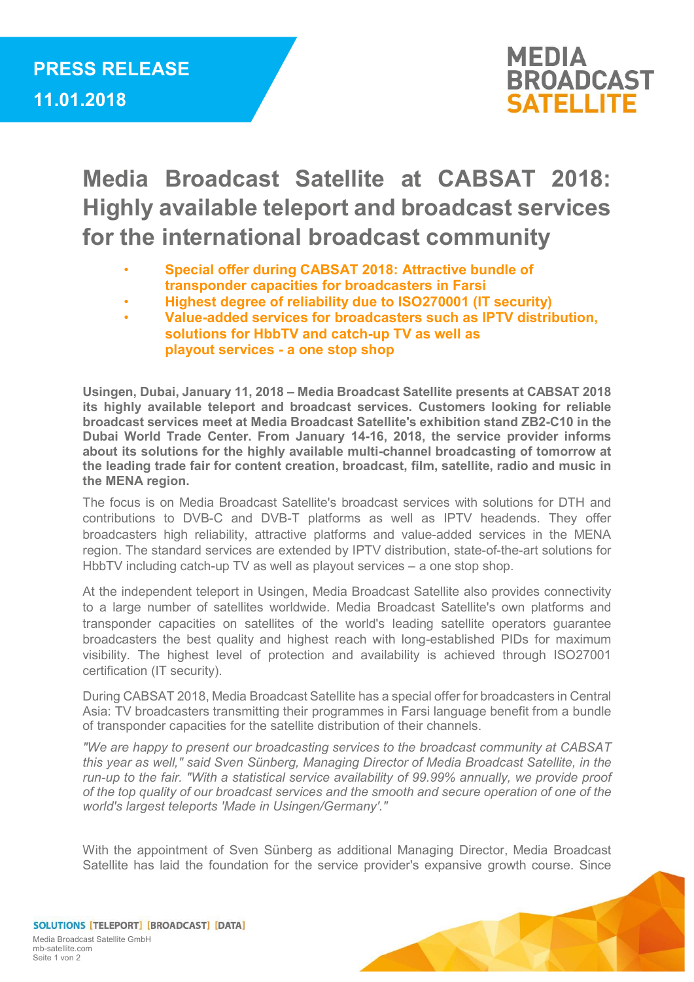

## Media Broadcast Satellite at CABSAT 2018: Highly available teleport and broadcast services for the international broadcast community

- Special offer during CABSAT 2018: Attractive bundle of transponder capacities for broadcasters in Farsi
- Highest degree of reliability due to ISO270001 (IT security)
- Value-added services for broadcasters such as IPTV distribution, solutions for HbbTV and catch-up TV as well as playout services - a one stop shop

Usingen, Dubai, January 11, 2018 – Media Broadcast Satellite presents at CABSAT 2018 its highly available teleport and broadcast services. Customers looking for reliable broadcast services meet at Media Broadcast Satellite's exhibition stand ZB2-C10 in the Dubai World Trade Center. From January 14-16, 2018, the service provider informs about its solutions for the highly available multi-channel broadcasting of tomorrow at the leading trade fair for content creation, broadcast, film, satellite, radio and music in the MENA region.

The focus is on Media Broadcast Satellite's broadcast services with solutions for DTH and contributions to DVB-C and DVB-T platforms as well as IPTV headends. They offer broadcasters high reliability, attractive platforms and value-added services in the MENA region. The standard services are extended by IPTV distribution, state-of-the-art solutions for HbbTV including catch-up TV as well as playout services – a one stop shop.

At the independent teleport in Usingen, Media Broadcast Satellite also provides connectivity to a large number of satellites worldwide. Media Broadcast Satellite's own platforms and transponder capacities on satellites of the world's leading satellite operators guarantee broadcasters the best quality and highest reach with long-established PIDs for maximum visibility. The highest level of protection and availability is achieved through ISO27001 certification (IT security).

During CABSAT 2018, Media Broadcast Satellite has a special offer for broadcasters in Central Asia: TV broadcasters transmitting their programmes in Farsi language benefit from a bundle of transponder capacities for the satellite distribution of their channels.

"We are happy to present our broadcasting services to the broadcast community at CABSAT this year as well," said Sven Sünberg, Managing Director of Media Broadcast Satellite, in the run-up to the fair. "With a statistical service availability of 99.99% annually, we provide proof of the top quality of our broadcast services and the smooth and secure operation of one of the world's largest teleports 'Made in Usingen/Germany'."

With the appointment of Sven Sünberg as additional Managing Director, Media Broadcast Satellite has laid the foundation for the service provider's expansive growth course. Since